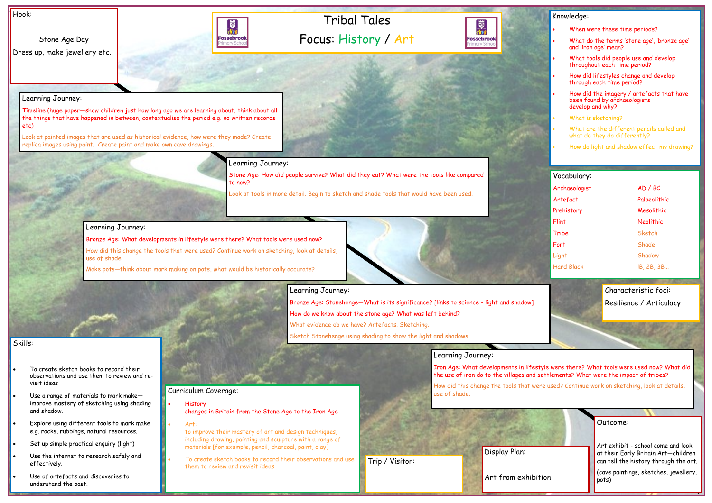# Tribal Tales Focus: History / Art



Hook:

Stone Age Day

Dress up, make jewellery etc.

圓 **APP Fossebrook** 

Outcome:

### Knowledge: When were these time periods? • What do the terms 'stone age', 'bronze age' and 'iron age' mean? What tools did people use and develop throughout each time period? • How did lifestyles change and develop through each time period? • How did the imagery / artefacts that have been found by archaeologists develop and why? What is sketching? • What are the different pencils called and what do they do differently? • How do light and shadow effect my drawing? Vocabulary: Archaeologist AD / BC Artefact Palaeolithic Prehistory Mesolithic Flint Neolithic Tribe Sketch Fort Shade

Art exhibit - school come and look at their Early Britain Art—children can tell the history through the art.

(cave paintings, sketches, jewellery, pots)

#### Skills:

- To create sketch books to record their observations and use them to review and revisit ideas
- Use a range of materials to mark makeimprove mastery of sketching using shading and shadow.
- Explore using different tools to mark make e.g. rocks, rubbings, natural resources.
- Set up simple practical enquiry (light)
- Use the internet to research safely and effectively.
- Use of artefacts and discoveries to understand the past.

### **Curriculum Coverage:** Curriculum Coverage:  $\frac{1}{\sqrt{1-\frac{1}{n}}}\sqrt{\frac{1}{n}}$

- **History** changes in Britain from the Stone Age to the Iron Age
- Art:

#### Learning Journey:

Timeline (huge paper—show children just how long ago we are learning about, think about all the things that have happened in between, contextualise the period e.g. no written records etc)

Look at painted images that are used as historical evidence, how were they made? Create replica images using paint. Create paint and make own cave drawings.

> To create sketch books to record their observations and use them to review and revisit ideas

#### Learning Journey:

Light Shadow Hard Black !B, 2B, 3B...

Stone Age: How did people survive? What did they eat? What were the tools like compared to now?

Look at tools in more detail. Begin to sketch and shade tools that would have been used.

#### Learning Journey:

Bronze Age: What developments in lifestyle were there? What tools were used now?

How did this change the tools that were used? Continue work on sketching, look at details, use of shade.

Make pots—think about mark making on pots, what would be historically accurate?

#### Learning Journey:

Bronze Age: Stonehenge—What is its significance? [links to science - light and shadow] How do we know about the stone age? What was left behind? What evidence do we have? Artefacts. Sketching.

## Sketch Stonehenge using shading to show the light and shadows.

# Learning Journey:

Iron Age: What developments in lifestyle were there? What tools were used now? What did the use of iron do to the villages and settlements? What were the impact of tribes?

How did this change the tools that were used? Continue work on sketching, look at details,

to improve their mastery of art and design techniques, including drawing, painting and sculpture with a range of materials [for example, pencil, charcoal, paint, clay]



Art from exhibition

Trip / Visitor:

Characteristic foci: Resilience / Articulacy